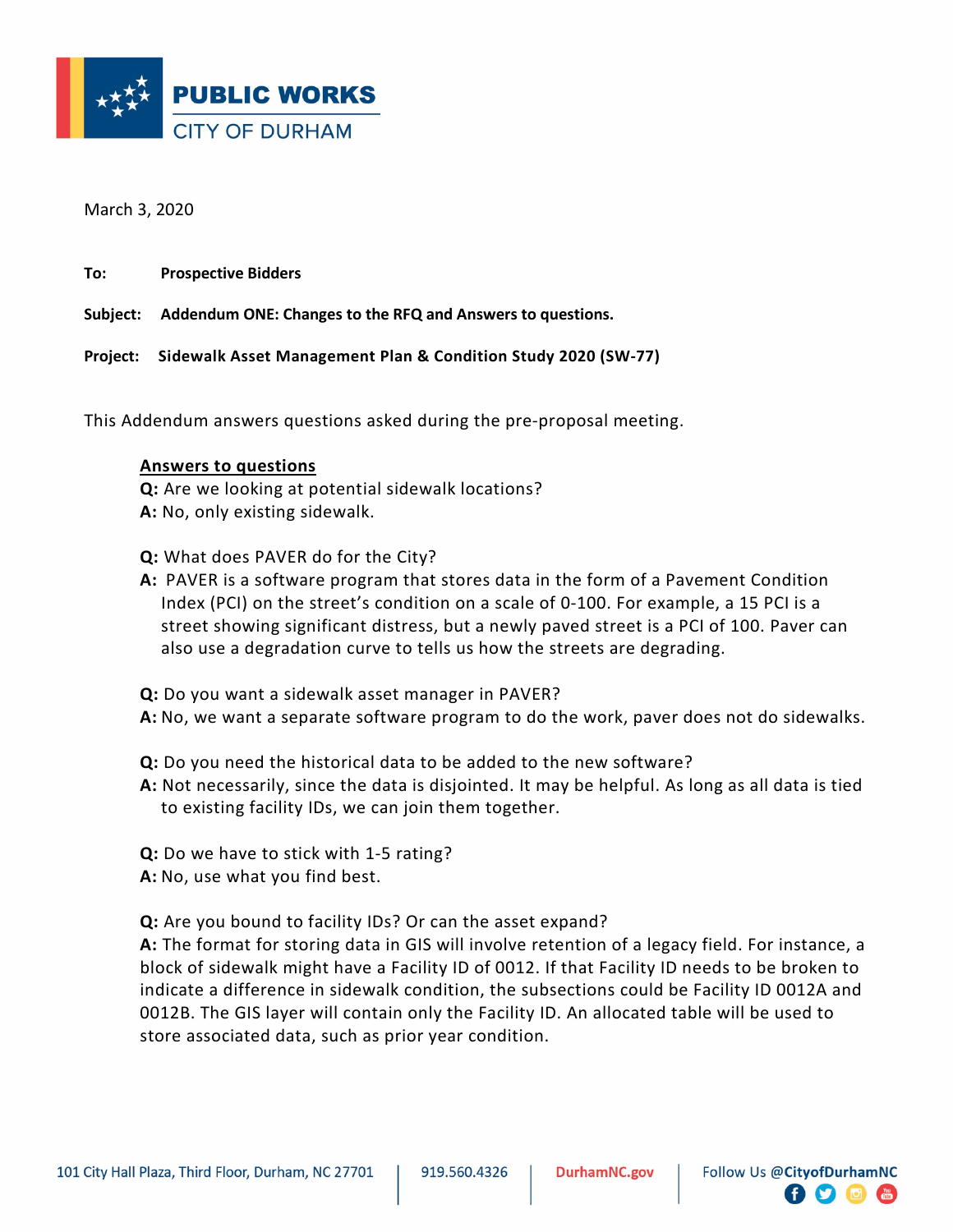

March 3, 2020

**To: Prospective Bidders**

**Subject: Addendum ONE: Changes to the RFQ and Answers to questions.**

**Project: Sidewalk Asset Management Plan & Condition Study 2020 (SW-77)**

This Addendum answers questions asked during the pre-proposal meeting.

## **Answers to questions**

**Q:** Are we looking at potential sidewalk locations? **A:** No, only existing sidewalk.

**Q:** What does PAVER do for the City?

**A:** PAVER is a software program that stores data in the form of a Pavement Condition Index (PCI) on the street's condition on a scale of 0-100. For example, a 15 PCI is a street showing significant distress, but a newly paved street is a PCI of 100. Paver can also use a degradation curve to tells us how the streets are degrading.

**Q:** Do you want a sidewalk asset manager in PAVER?

**A:** No, we want a separate software program to do the work, paver does not do sidewalks.

**Q:** Do you need the historical data to be added to the new software?

**A:** Not necessarily, since the data is disjointed. It may be helpful. As long as all data is tied to existing facility IDs, we can join them together.

**Q:** Do we have to stick with 1-5 rating? **A:** No, use what you find best.

**Q:** Are you bound to facility IDs? Or can the asset expand?

**A:** The format for storing data in GIS will involve retention of a legacy field. For instance, a block of sidewalk might have a Facility ID of 0012. If that Facility ID needs to be broken to indicate a difference in sidewalk condition, the subsections could be Facility ID 0012A and 0012B. The GIS layer will contain only the Facility ID. An allocated table will be used to store associated data, such as prior year condition.

 $\begin{bmatrix} 1 \\ 2 \end{bmatrix}$   $\begin{bmatrix} 1 \\ 2 \end{bmatrix}$   $\begin{bmatrix} 1 \\ 2 \end{bmatrix}$   $\begin{bmatrix} 1 \\ 2 \end{bmatrix}$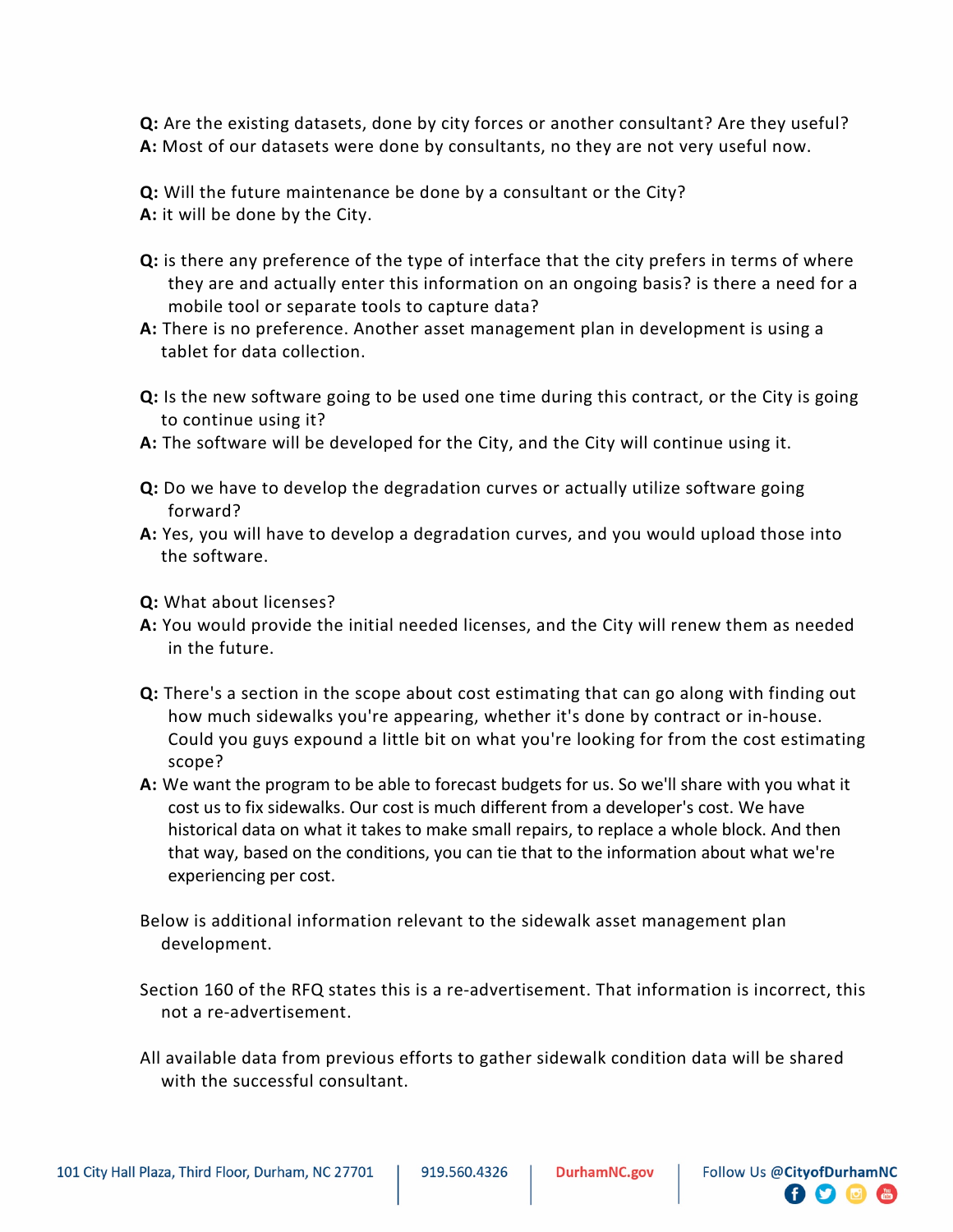**Q:** Are the existing datasets, done by city forces or another consultant? Are they useful? **A:** Most of our datasets were done by consultants, no they are not very useful now.

**Q:** Will the future maintenance be done by a consultant or the City? **A:** it will be done by the City.

- **Q:** is there any preference of the type of interface that the city prefers in terms of where they are and actually enter this information on an ongoing basis? is there a need for a mobile tool or separate tools to capture data?
- **A:** There is no preference. Another asset management plan in development is using a tablet for data collection.
- **Q:** Is the new software going to be used one time during this contract, or the City is going to continue using it?
- **A:** The software will be developed for the City, and the City will continue using it.
- **Q:** Do we have to develop the degradation curves or actually utilize software going forward?
- **A:** Yes, you will have to develop a degradation curves, and you would upload those into the software.
- **Q:** What about licenses?
- **A:** You would provide the initial needed licenses, and the City will renew them as needed in the future.
- **Q:** There's a section in the scope about cost estimating that can go along with finding out how much sidewalks you're appearing, whether it's done by contract or in-house. Could you guys expound a little bit on what you're looking for from the cost estimating scope?
- **A:** We want the program to be able to forecast budgets for us. So we'll share with you what it cost us to fix sidewalks. Our cost is much different from a developer's cost. We have historical data on what it takes to make small repairs, to replace a whole block. And then that way, based on the conditions, you can tie that to the information about what we're experiencing per cost.
- Below is additional information relevant to the sidewalk asset management plan development.
- Section 160 of the RFQ states this is a re-advertisement. That information is incorrect, this not a re-advertisement.
- All available data from previous efforts to gather sidewalk condition data will be shared with the successful consultant.

 $\bullet$  0  $\bullet$